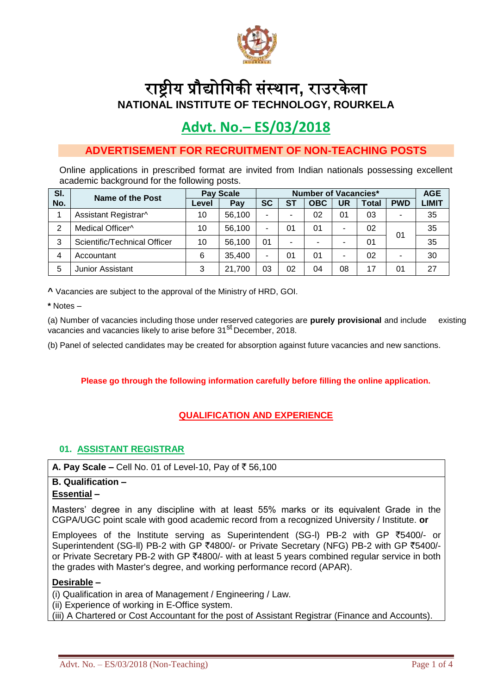

# राष्ट्रीय प्रौद्योगिकी संस्थान**,** राउरके ला **NATIONAL INSTITUTE OF TECHNOLOGY, ROURKELA**

# **Advt. No.– ES/03/2018**

# **ADVERTISEMENT FOR RECRUITMENT OF NON-TEACHING POSTS**

Online applications in prescribed format are invited from Indian nationals possessing excellent academic background for the following posts.

| SI. | <b>Name of the Post</b>      | <b>Pay Scale</b> |        | <b>Number of Vacancies*</b> |                |            |    |              |            | <b>AGE</b>   |
|-----|------------------------------|------------------|--------|-----------------------------|----------------|------------|----|--------------|------------|--------------|
| No. |                              | Level            | Pay    | <b>SC</b>                   | <b>ST</b>      | <b>OBC</b> | UR | <b>Total</b> | <b>PWD</b> | <b>LIMIT</b> |
|     | Assistant Registrar^         | 10               | 56,100 |                             | $\blacksquare$ | 02         | 01 | 03           | -          | 35           |
| 2   | Medical Officer^             | 10               | 56,100 |                             | 01             | 01         |    | 02           | 01         | 35           |
| 3   | Scientific/Technical Officer | 10               | 56,100 | 01                          | $\blacksquare$ | -          |    | 01           |            | 35           |
| 4   | Accountant                   | 6                | 35,400 |                             | 01             | 01         |    | 02           |            | 30           |
| 5   | <b>Junior Assistant</b>      | 3                | 21,700 | 03                          | 02             | 04         | 08 | 17           | 01         | 27           |

**^** Vacancies are subject to the approval of the Ministry of HRD, GOI.

**\*** Notes –

(a) Number of vacancies including those under reserved categories are **purely provisional** and include existing vacancies and vacancies likely to arise before 31<sup>st</sup> December. 2018.

(b) Panel of selected candidates may be created for absorption against future vacancies and new sanctions.

**Please go through the following information carefully before filling the online application.**

# **QUALIFICATION AND EXPERIENCE**

# **01. ASSISTANT REGISTRAR**

**A. Pav Scale –** Cell No. 01 of Level-10, Pav of  $\bar{z}$  56,100

#### **B. Qualification – Essential –**

Masters' degree in any discipline with at least 55% marks or its equivalent Grade in the CGPA/UGC point scale with good academic record from a recognized University / Institute. **or**

Employees of the lnstitute serving as Superintendent (SG-l) PB-2 with GP `5400/- or Superintendent (SG-II) PB-2 with GP ₹4800/- or Private Secretary (NFG) PB-2 with GP ₹5400/or Private Secretary PB-2 with GP  $\bar{\zeta}$ 4800/- with at least 5 years combined regular service in both the grades with Master's degree, and working performance record (APAR).

## **Desirable –**

(i) Qualification in area of Management / Engineering / Law.

(ii) Experience of working in E-Office system.

(iii) A Chartered or Cost Accountant for the post of Assistant Registrar (Finance and Accounts).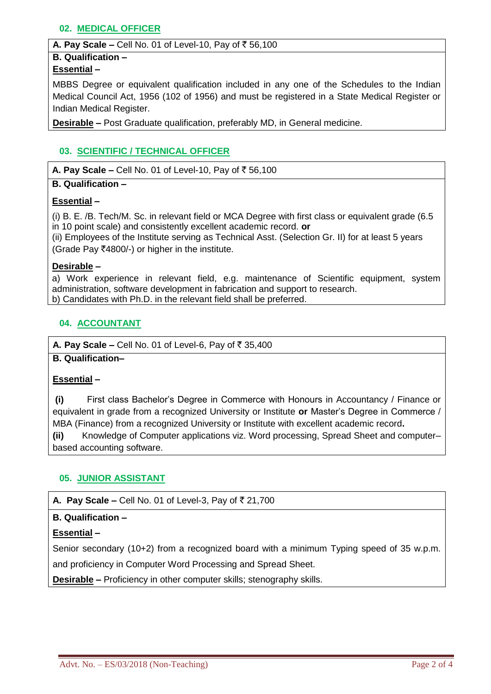# **02. MEDICAL OFFICER**

#### **A. Pay Scale –** Cell No. 01 of Level-10, Pay of  $\bar{z}$  56,100

## **B. Qualification –**

# **Essential –**

MBBS Degree or equivalent qualification included in any one of the Schedules to the Indian Medical Council Act, 1956 (102 of 1956) and must be registered in a State Medical Register or Indian Medical Register.

**Desirable –** Post Graduate qualification, preferably MD, in General medicine.

# **03. SCIENTIFIC / TECHNICAL OFFICER**

**A. Pay Scale –** Cell No. 01 of Level-10, Pay of ₹ 56,100

## **B. Qualification –**

# **Essential –**

(i) B. E. /B. Tech/M. Sc. in relevant field or MCA Degree with first class or equivalent grade (6.5 in 10 point scale) and consistently excellent academic record. **or**

(ii) Employees of the Institute serving as Technical Asst. (Selection Gr. II) for at least 5 years  $(Grade$  Pav  $\overline{\zeta}$ 4800/-) or higher in the institute.

## **Desirable –**

a) Work experience in relevant field, e.g. maintenance of Scientific equipment, system administration, software development in fabrication and support to research. b) Candidates with Ph.D. in the relevant field shall be preferred.

# **04. ACCOUNTANT**

**A. Pay Scale –** Cell No. 01 of Level-6, Pay of  $\bar{z}$  35,400

# **B. Qualification–**

## **Essential –**

**(i)** First class Bachelor's Degree in Commerce with Honours in Accountancy / Finance or equivalent in grade from a recognized University or Institute **or** Master's Degree in Commerce / MBA (Finance) from a recognized University or Institute with excellent academic record**.**

**(ii)** Knowledge of Computer applications viz. Word processing, Spread Sheet and computer– based accounting software.

# **05. JUNIOR ASSISTANT**

## **A. Pay Scale –** Cell No. 01 of Level-3, Pay of  $\overline{\xi}$  21,700

## **B. Qualification –**

## **Essential –**

Senior secondary (10+2) from a recognized board with a minimum Typing speed of 35 w.p.m. and proficiency in Computer Word Processing and Spread Sheet.

**Desirable –** Proficiency in other computer skills; stenography skills.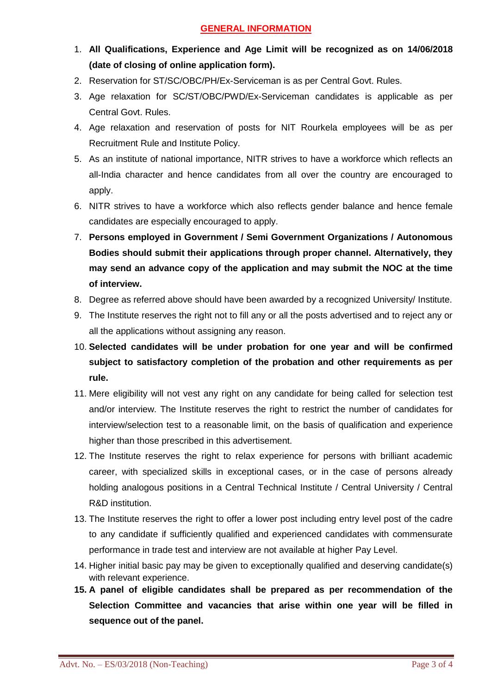# **GENERAL INFORMATION**

- 1. **All Qualifications, Experience and Age Limit will be recognized as on 14/06/2018 (date of closing of online application form).**
- 2. Reservation for ST/SC/OBC/PH/Ex-Serviceman is as per Central Govt. Rules.
- 3. Age relaxation for SC/ST/OBC/PWD/Ex-Serviceman candidates is applicable as per Central Govt. Rules.
- 4. Age relaxation and reservation of posts for NIT Rourkela employees will be as per Recruitment Rule and Institute Policy.
- 5. As an institute of national importance, NITR strives to have a workforce which reflects an all-India character and hence candidates from all over the country are encouraged to apply.
- 6. NITR strives to have a workforce which also reflects gender balance and hence female candidates are especially encouraged to apply.
- 7. **Persons employed in Government / Semi Government Organizations / Autonomous Bodies should submit their applications through proper channel. Alternatively, they may send an advance copy of the application and may submit the NOC at the time of interview.**
- 8. Degree as referred above should have been awarded by a recognized University/ Institute.
- 9. The Institute reserves the right not to fill any or all the posts advertised and to reject any or all the applications without assigning any reason.
- 10. **Selected candidates will be under probation for one year and will be confirmed subject to satisfactory completion of the probation and other requirements as per rule.**
- 11. Mere eligibility will not vest any right on any candidate for being called for selection test and/or interview. The Institute reserves the right to restrict the number of candidates for interview/selection test to a reasonable limit, on the basis of qualification and experience higher than those prescribed in this advertisement.
- 12. The Institute reserves the right to relax experience for persons with brilliant academic career, with specialized skills in exceptional cases, or in the case of persons already holding analogous positions in a Central Technical Institute / Central University / Central R&D institution.
- 13. The Institute reserves the right to offer a lower post including entry level post of the cadre to any candidate if sufficiently qualified and experienced candidates with commensurate performance in trade test and interview are not available at higher Pay Level.
- 14. Higher initial basic pay may be given to exceptionally qualified and deserving candidate(s) with relevant experience.
- **15. A panel of eligible candidates shall be prepared as per recommendation of the Selection Committee and vacancies that arise within one year will be filled in sequence out of the panel.**